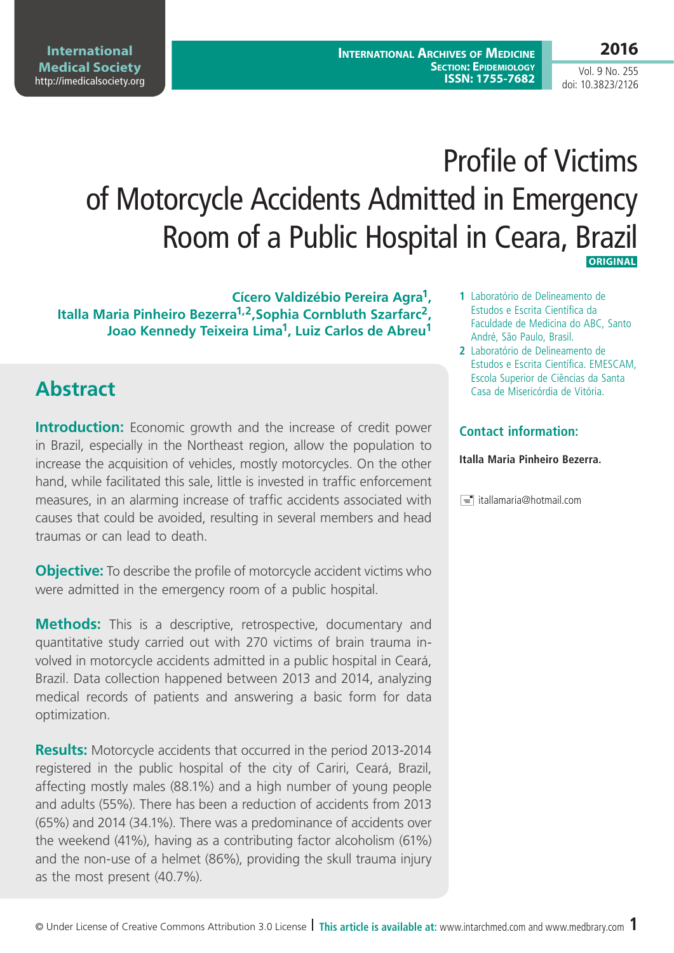**2016**

Vol. 9 No. 255 doi: 10.3823/2126

# Profile of Victims of Motorcycle Accidents Admitted in Emergency Room of a Public Hospital in Ceara, Brazil  **ORIGINAL**

**Cícero Valdizébio Pereira Agra1, Italla Maria Pinheiro Bezerra1,2,Sophia Cornbluth Szarfarc2, Joao Kennedy Teixeira Lima1, Luiz Carlos de Abreu1**

## **Abstract**

**Introduction:** Economic growth and the increase of credit power in Brazil, especially in the Northeast region, allow the population to increase the acquisition of vehicles, mostly motorcycles. On the other hand, while facilitated this sale, little is invested in traffic enforcement measures, in an alarming increase of traffic accidents associated with causes that could be avoided, resulting in several members and head traumas or can lead to death.

**Objective:** To describe the profile of motorcycle accident victims who were admitted in the emergency room of a public hospital.

**Methods:** This is a descriptive, retrospective, documentary and quantitative study carried out with 270 victims of brain trauma involved in motorcycle accidents admitted in a public hospital in Ceará, Brazil. Data collection happened between 2013 and 2014, analyzing medical records of patients and answering a basic form for data optimization.

**Results:** Motorcycle accidents that occurred in the period 2013-2014 registered in the public hospital of the city of Cariri, Ceará, Brazil, affecting mostly males (88.1%) and a high number of young people and adults (55%). There has been a reduction of accidents from 2013 (65%) and 2014 (34.1%). There was a predominance of accidents over the weekend (41%), having as a contributing factor alcoholism (61%) and the non-use of a helmet (86%), providing the skull trauma injury as the most present (40.7%).

- **1** Laboratório de Delineamento de Estudos e Escrita Científica da Faculdade de Medicina do ABC, Santo André, São Paulo, Brasil.
- **2** Laboratório de Delineamento de Estudos e Escrita Científica. EMESCAM, Escola Superior de Ciências da Santa Casa de Misericórdia de Vitória.

#### **Contact information:**

#### **Italla Maria Pinheiro Bezerra.**

 $\equiv$  itallamaria@hotmail.com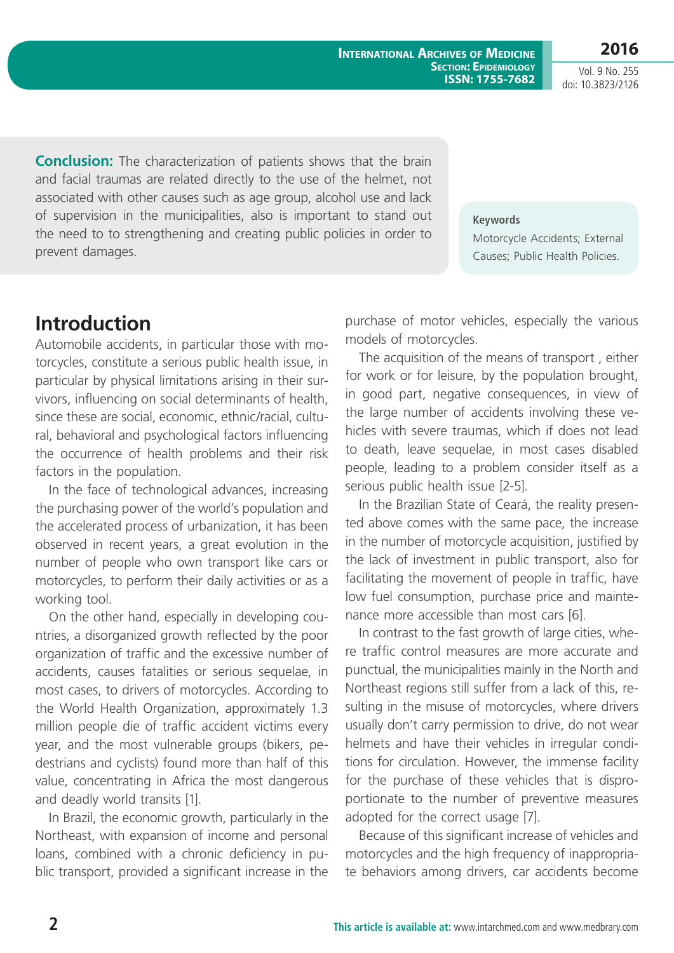**2016**

Vol. 9 No. 255 doi: 10.3823/2126

**Conclusion:** The characterization of patients shows that the brain and facial traumas are related directly to the use of the helmet, not associated with other causes such as age group, alcohol use and lack of supervision in the municipalities, also is important to stand out the need to to strengthening and creating public policies in order to prevent damages.

**Keywords** Motorcycle Accidents; External Causes; Public Health Policies.

# **Introduction**

Automobile accidents, in particular those with motorcycles, constitute a serious public health issue, in particular by physical limitations arising in their survivors, influencing on social determinants of health, since these are social, economic, ethnic/racial, cultural, behavioral and psychological factors influencing the occurrence of health problems and their risk factors in the population.

In the face of technological advances, increasing the purchasing power of the world's population and the accelerated process of urbanization, it has been observed in recent years, a great evolution in the number of people who own transport like cars or motorcycles, to perform their daily activities or as a working tool.

On the other hand, especially in developing countries, a disorganized growth reflected by the poor organization of traffic and the excessive number of accidents, causes fatalities or serious sequelae, in most cases, to drivers of motorcycles. According to the World Health Organization, approximately 1.3 million people die of traffic accident victims every year, and the most vulnerable groups (bikers, pedestrians and cyclists) found more than half of this value, concentrating in Africa the most dangerous and deadly world transits [1].

In Brazil, the economic growth, particularly in the Northeast, with expansion of income and personal loans, combined with a chronic deficiency in public transport, provided a significant increase in the purchase of motor vehicles, especially the various models of motorcycles.

The acquisition of the means of transport , either for work or for leisure, by the population brought, in good part, negative consequences, in view of the large number of accidents involving these vehicles with severe traumas, which if does not lead to death, leave sequelae, in most cases disabled people, leading to a problem consider itself as a serious public health issue [2-5].

In the Brazilian State of Ceará, the reality presented above comes with the same pace, the increase in the number of motorcycle acquisition, justified by the lack of investment in public transport, also for facilitating the movement of people in traffic, have low fuel consumption, purchase price and maintenance more accessible than most cars [6].

In contrast to the fast growth of large cities, where traffic control measures are more accurate and punctual, the municipalities mainly in the North and Northeast regions still suffer from a lack of this, resulting in the misuse of motorcycles, where drivers usually don't carry permission to drive, do not wear helmets and have their vehicles in irregular conditions for circulation. However, the immense facility for the purchase of these vehicles that is disproportionate to the number of preventive measures adopted for the correct usage [7].

Because of this significant increase of vehicles and motorcycles and the high frequency of inappropriate behaviors among drivers, car accidents become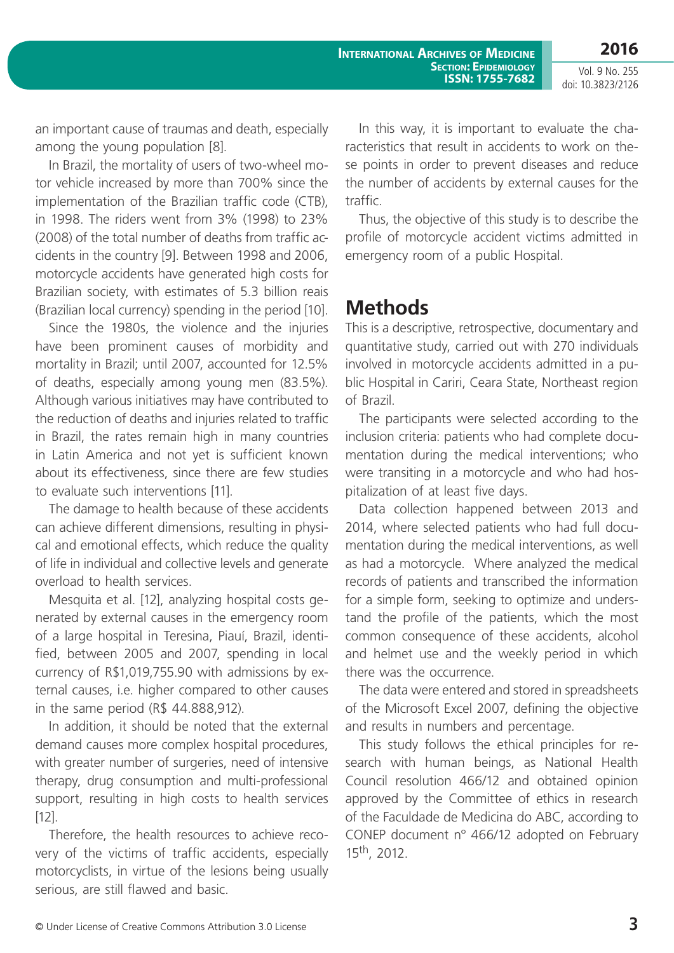**2016**

Vol. 9 No. 255 doi: 10.3823/2126

an important cause of traumas and death, especially among the young population [8].

In Brazil, the mortality of users of two-wheel motor vehicle increased by more than 700% since the implementation of the Brazilian traffic code (CTB), in 1998. The riders went from 3% (1998) to 23% (2008) of the total number of deaths from traffic accidents in the country [9]. Between 1998 and 2006, motorcycle accidents have generated high costs for Brazilian society, with estimates of 5.3 billion reais (Brazilian local currency) spending in the period [10].

Since the 1980s, the violence and the injuries have been prominent causes of morbidity and mortality in Brazil; until 2007, accounted for 12.5% of deaths, especially among young men (83.5%). Although various initiatives may have contributed to the reduction of deaths and injuries related to traffic in Brazil, the rates remain high in many countries in Latin America and not yet is sufficient known about its effectiveness, since there are few studies to evaluate such interventions [11].

The damage to health because of these accidents can achieve different dimensions, resulting in physical and emotional effects, which reduce the quality of life in individual and collective levels and generate overload to health services.

Mesquita et al. [12], analyzing hospital costs generated by external causes in the emergency room of a large hospital in Teresina, Piauí, Brazil, identified, between 2005 and 2007, spending in local currency of R\$1,019,755.90 with admissions by external causes, i.e. higher compared to other causes in the same period (R\$ 44.888,912).

In addition, it should be noted that the external demand causes more complex hospital procedures, with greater number of surgeries, need of intensive therapy, drug consumption and multi-professional support, resulting in high costs to health services [12].

Therefore, the health resources to achieve recovery of the victims of traffic accidents, especially motorcyclists, in virtue of the lesions being usually serious, are still flawed and basic.

In this way, it is important to evaluate the characteristics that result in accidents to work on these points in order to prevent diseases and reduce the number of accidents by external causes for the traffic.

Thus, the objective of this study is to describe the profile of motorcycle accident victims admitted in emergency room of a public Hospital.

#### **Methods**

This is a descriptive, retrospective, documentary and quantitative study, carried out with 270 individuals involved in motorcycle accidents admitted in a public Hospital in Cariri, Ceara State, Northeast region of Brazil.

The participants were selected according to the inclusion criteria: patients who had complete documentation during the medical interventions; who were transiting in a motorcycle and who had hospitalization of at least five days.

Data collection happened between 2013 and 2014, where selected patients who had full documentation during the medical interventions, as well as had a motorcycle. Where analyzed the medical records of patients and transcribed the information for a simple form, seeking to optimize and understand the profile of the patients, which the most common consequence of these accidents, alcohol and helmet use and the weekly period in which there was the occurrence.

The data were entered and stored in spreadsheets of the Microsoft Excel 2007, defining the objective and results in numbers and percentage.

This study follows the ethical principles for research with human beings, as National Health Council resolution 466/12 and obtained opinion approved by the Committee of ethics in research of the Faculdade de Medicina do ABC, according to CONEP document n° 466/12 adopted on February 15th, 2012.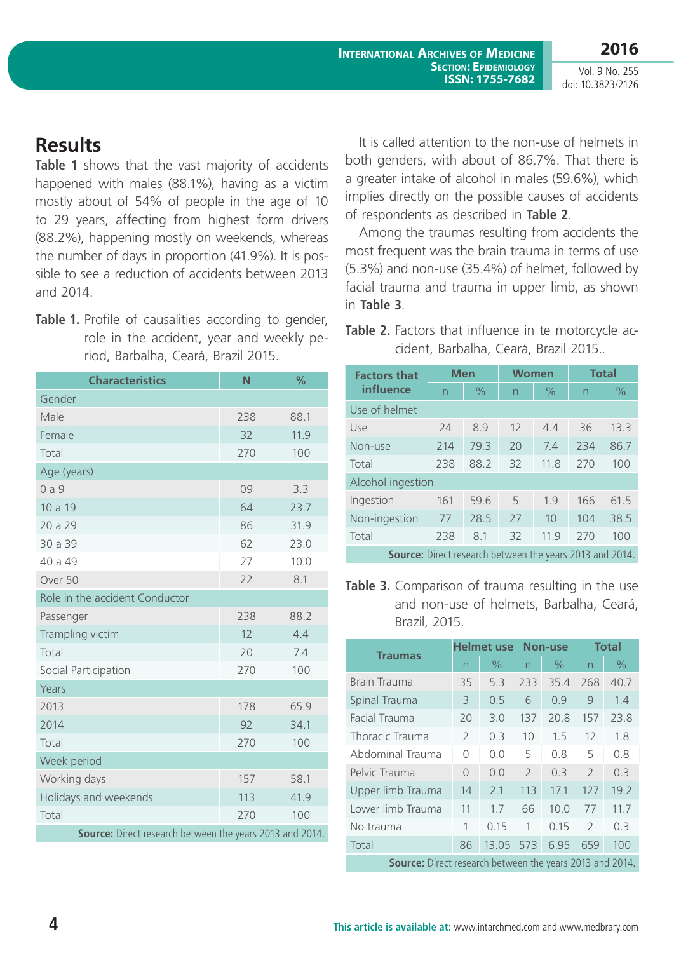**2016** Vol. 9 No. 255

doi: 10.3823/2126

## **Results**

**Table 1** shows that the vast majority of accidents happened with males (88.1%), having as a victim mostly about of 54% of people in the age of 10 to 29 years, affecting from highest form drivers (88.2%), happening mostly on weekends, whereas the number of days in proportion (41.9%). It is possible to see a reduction of accidents between 2013 and 2014.

Table 1. Profile of causalities according to gender, role in the accident, year and weekly period, Barbalha, Ceará, Brazil 2015.

| <b>Characteristics</b>                                   | N   | %    |  |  |  |  |  |  |
|----------------------------------------------------------|-----|------|--|--|--|--|--|--|
| Gender                                                   |     |      |  |  |  |  |  |  |
| Male                                                     | 238 | 88.1 |  |  |  |  |  |  |
| Female                                                   | 32  | 11.9 |  |  |  |  |  |  |
| Total                                                    | 270 | 100  |  |  |  |  |  |  |
| Age (years)                                              |     |      |  |  |  |  |  |  |
| 0a9                                                      | 09  | 3.3  |  |  |  |  |  |  |
| 10 a 19                                                  | 64  | 23.7 |  |  |  |  |  |  |
| 20 a 29                                                  | 86  | 31.9 |  |  |  |  |  |  |
| 30 a 39                                                  | 62  | 23.0 |  |  |  |  |  |  |
| 40 a 49                                                  | 27  | 10.0 |  |  |  |  |  |  |
| Over 50                                                  | 22  | 8.1  |  |  |  |  |  |  |
| Role in the accident Conductor                           |     |      |  |  |  |  |  |  |
| Passenger                                                | 238 | 88.2 |  |  |  |  |  |  |
| Trampling victim                                         | 12  | 4.4  |  |  |  |  |  |  |
| Total                                                    | 20  | 7.4  |  |  |  |  |  |  |
| Social Participation                                     | 270 | 100  |  |  |  |  |  |  |
| Years                                                    |     |      |  |  |  |  |  |  |
| 2013                                                     | 178 | 65.9 |  |  |  |  |  |  |
| 2014                                                     | 92  | 34.1 |  |  |  |  |  |  |
| Total                                                    | 270 | 100  |  |  |  |  |  |  |
| Week period                                              |     |      |  |  |  |  |  |  |
| Working days                                             | 157 | 58.1 |  |  |  |  |  |  |
| Holidays and weekends                                    | 113 | 41.9 |  |  |  |  |  |  |
| Total                                                    | 270 | 100  |  |  |  |  |  |  |
| Source: Direct research between the years 2013 and 2014. |     |      |  |  |  |  |  |  |

It is called attention to the non-use of helmets in both genders, with about of 86.7%. That there is a greater intake of alcohol in males (59.6%), which implies directly on the possible causes of accidents of respondents as described in **Table 2**.

Among the traumas resulting from accidents the most frequent was the brain trauma in terms of use (5.3%) and non-use (35.4%) of helmet, followed by facial trauma and trauma in upper limb, as shown in **Table 3**.

**Table 2.** Factors that influence in te motorcycle accident, Barbalha, Ceará, Brazil 2015..

| <b>Factors that</b>                                             | <b>Men</b> |               | <b>Women</b> |               | <b>Total</b> |               |  |  |  |
|-----------------------------------------------------------------|------------|---------------|--------------|---------------|--------------|---------------|--|--|--|
| influence                                                       | n          | $\frac{0}{0}$ | n            | $\frac{0}{0}$ | n            | $\frac{0}{0}$ |  |  |  |
| Use of helmet                                                   |            |               |              |               |              |               |  |  |  |
| Use                                                             | 24         | 8.9           | 12           | 4.4           | 36           | 13.3          |  |  |  |
| Non-use                                                         | 214        | 79.3          | 20           | 7.4           | 234          | 86.7          |  |  |  |
| Total                                                           | 238        | 88.2          | 32           | 11.8          | 270          | 100           |  |  |  |
| Alcohol ingestion                                               |            |               |              |               |              |               |  |  |  |
| Ingestion                                                       | 161        | 59.6          | 5            | 1.9           | 166          | 61.5          |  |  |  |
| Non-ingestion                                                   | 77         | 28.5          | 27           | 10            | 104          | 38.5          |  |  |  |
| Total                                                           | 238        | 8.1           | 32           | 11.9          | 270          | 100           |  |  |  |
| <b>Source:</b> Direct research between the years 2013 and 2014. |            |               |              |               |              |               |  |  |  |

**Table 3.** Comparison of trauma resulting in the use and non-use of helmets, Barbalha, Ceará, Brazil, 2015.

| <b>Traumas</b>                                                  | <b>Helmet use</b>        |       | <b>Non-use</b> |      | <b>Total</b>  |               |  |
|-----------------------------------------------------------------|--------------------------|-------|----------------|------|---------------|---------------|--|
|                                                                 | $\overline{\phantom{0}}$ | $\%$  | n              | $\%$ | n             | $\frac{0}{0}$ |  |
| Brain Trauma                                                    | 35                       | 5.3   | 233            | 35.4 | 268           | 40.7          |  |
| Spinal Trauma                                                   | 3                        | 0.5   | 6              | 0.9  | 9             | 1.4           |  |
| Facial Trauma                                                   | 20                       | 3.0   | 137            | 20.8 | 157           | 23.8          |  |
| Thoracic Trauma                                                 | $\mathcal{L}$            | 0.3   | 10             | 1.5  | 12            | 1.8           |  |
| Abdominal Trauma                                                | $\bigcap$                | 0.0   | 5              | 0.8  | 5             | 0.8           |  |
| Pelvic Trauma                                                   | $\bigcap$                | 0.0   | $\mathcal{P}$  | 0.3  | $\mathcal{P}$ | 0.3           |  |
| Upper limb Trauma                                               | 14                       | 2.1   | 113            | 17.1 | 127           | 19.2          |  |
| Lower limb Trauma                                               | 11                       | 1.7   | 66             | 10.0 | 77            | 11.7          |  |
| No trauma                                                       | 1                        | 0.15  | 1              | 0.15 | $\mathcal{P}$ | 0.3           |  |
| Total                                                           | 86                       | 13.05 | 573            | 6.95 | 659           | 100           |  |
| <b>Source:</b> Direct research between the years 2013 and 2014. |                          |       |                |      |               |               |  |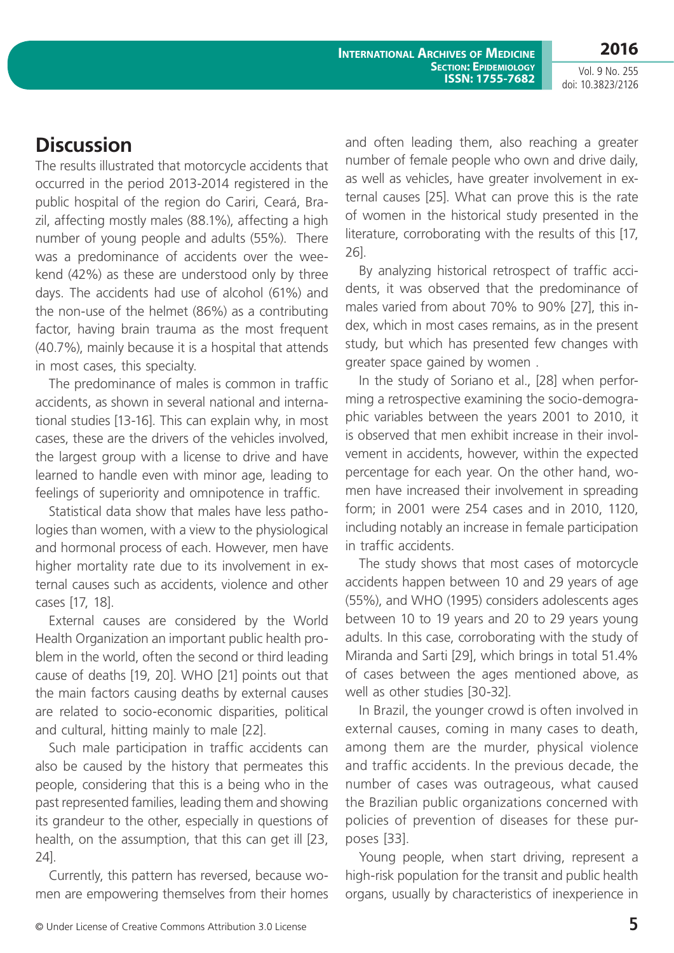**2016**

Vol. 9 No. 255 doi: 10.3823/2126

### **Discussion**

The results illustrated that motorcycle accidents that occurred in the period 2013-2014 registered in the public hospital of the region do Cariri, Ceará, Brazil, affecting mostly males (88.1%), affecting a high number of young people and adults (55%). There was a predominance of accidents over the weekend (42%) as these are understood only by three days. The accidents had use of alcohol (61%) and the non-use of the helmet (86%) as a contributing factor, having brain trauma as the most frequent (40.7%), mainly because it is a hospital that attends in most cases, this specialty.

The predominance of males is common in traffic accidents, as shown in several national and international studies [13-16]. This can explain why, in most cases, these are the drivers of the vehicles involved, the largest group with a license to drive and have learned to handle even with minor age, leading to feelings of superiority and omnipotence in traffic.

Statistical data show that males have less pathologies than women, with a view to the physiological and hormonal process of each. However, men have higher mortality rate due to its involvement in external causes such as accidents, violence and other cases [17, 18].

External causes are considered by the World Health Organization an important public health problem in the world, often the second or third leading cause of deaths [19, 20]. WHO [21] points out that the main factors causing deaths by external causes are related to socio-economic disparities, political and cultural, hitting mainly to male [22].

Such male participation in traffic accidents can also be caused by the history that permeates this people, considering that this is a being who in the past represented families, leading them and showing its grandeur to the other, especially in questions of health, on the assumption, that this can get ill [23, 24].

Currently, this pattern has reversed, because women are empowering themselves from their homes and often leading them, also reaching a greater number of female people who own and drive daily, as well as vehicles, have greater involvement in external causes [25]. What can prove this is the rate of women in the historical study presented in the literature, corroborating with the results of this [17, 26].

By analyzing historical retrospect of traffic accidents, it was observed that the predominance of males varied from about 70% to 90% [27], this index, which in most cases remains, as in the present study, but which has presented few changes with greater space gained by women .

In the study of Soriano et al., [28] when performing a retrospective examining the socio-demographic variables between the years 2001 to 2010, it is observed that men exhibit increase in their involvement in accidents, however, within the expected percentage for each year. On the other hand, women have increased their involvement in spreading form; in 2001 were 254 cases and in 2010, 1120, including notably an increase in female participation in traffic accidents.

The study shows that most cases of motorcycle accidents happen between 10 and 29 years of age (55%), and WHO (1995) considers adolescents ages between 10 to 19 years and 20 to 29 years young adults. In this case, corroborating with the study of Miranda and Sarti [29], which brings in total 51.4% of cases between the ages mentioned above, as well as other studies [30-32].

In Brazil, the younger crowd is often involved in external causes, coming in many cases to death, among them are the murder, physical violence and traffic accidents. In the previous decade, the number of cases was outrageous, what caused the Brazilian public organizations concerned with policies of prevention of diseases for these purposes [33].

Young people, when start driving, represent a high-risk population for the transit and public health organs, usually by characteristics of inexperience in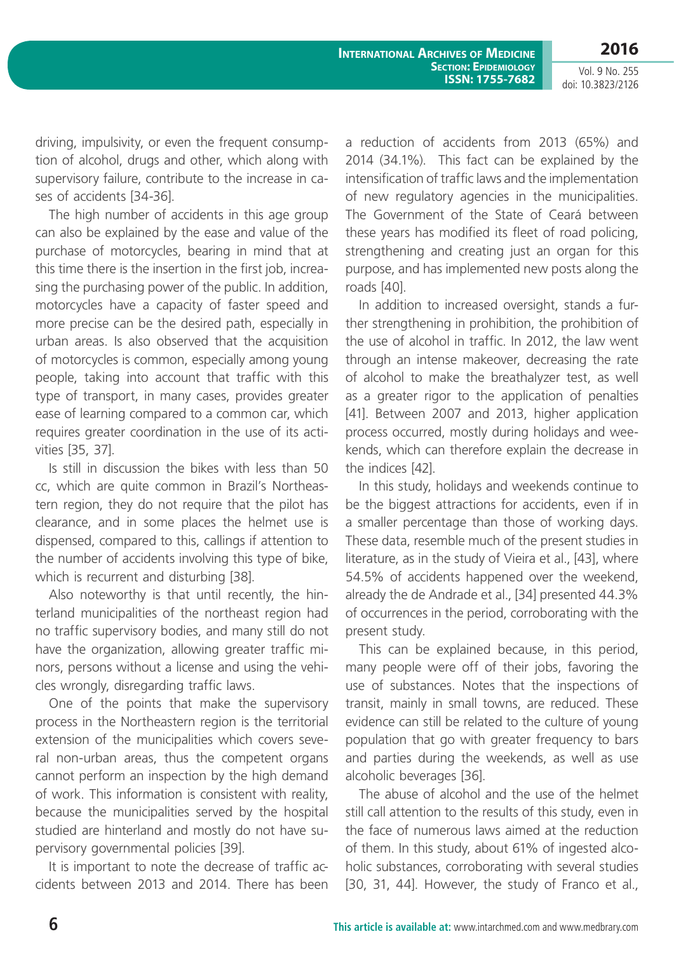Vol. 9 No. 255 doi: 10.3823/2126

**2016**

driving, impulsivity, or even the frequent consumption of alcohol, drugs and other, which along with supervisory failure, contribute to the increase in cases of accidents [34-36].

The high number of accidents in this age group can also be explained by the ease and value of the purchase of motorcycles, bearing in mind that at this time there is the insertion in the first job, increasing the purchasing power of the public. In addition, motorcycles have a capacity of faster speed and more precise can be the desired path, especially in urban areas. Is also observed that the acquisition of motorcycles is common, especially among young people, taking into account that traffic with this type of transport, in many cases, provides greater ease of learning compared to a common car, which requires greater coordination in the use of its activities [35, 37].

Is still in discussion the bikes with less than 50 cc, which are quite common in Brazil's Northeastern region, they do not require that the pilot has clearance, and in some places the helmet use is dispensed, compared to this, callings if attention to the number of accidents involving this type of bike, which is recurrent and disturbing [38].

Also noteworthy is that until recently, the hinterland municipalities of the northeast region had no traffic supervisory bodies, and many still do not have the organization, allowing greater traffic minors, persons without a license and using the vehicles wrongly, disregarding traffic laws.

One of the points that make the supervisory process in the Northeastern region is the territorial extension of the municipalities which covers several non-urban areas, thus the competent organs cannot perform an inspection by the high demand of work. This information is consistent with reality, because the municipalities served by the hospital studied are hinterland and mostly do not have supervisory governmental policies [39].

It is important to note the decrease of traffic accidents between 2013 and 2014. There has been a reduction of accidents from 2013 (65%) and 2014 (34.1%). This fact can be explained by the intensification of traffic laws and the implementation of new regulatory agencies in the municipalities. The Government of the State of Ceará between these years has modified its fleet of road policing, strengthening and creating just an organ for this purpose, and has implemented new posts along the roads [40].

In addition to increased oversight, stands a further strengthening in prohibition, the prohibition of the use of alcohol in traffic. In 2012, the law went through an intense makeover, decreasing the rate of alcohol to make the breathalyzer test, as well as a greater rigor to the application of penalties [41]. Between 2007 and 2013, higher application process occurred, mostly during holidays and weekends, which can therefore explain the decrease in the indices [42].

In this study, holidays and weekends continue to be the biggest attractions for accidents, even if in a smaller percentage than those of working days. These data, resemble much of the present studies in literature, as in the study of Vieira et al., [43], where 54.5% of accidents happened over the weekend, already the de Andrade et al., [34] presented 44.3% of occurrences in the period, corroborating with the present study.

This can be explained because, in this period, many people were off of their jobs, favoring the use of substances. Notes that the inspections of transit, mainly in small towns, are reduced. These evidence can still be related to the culture of young population that go with greater frequency to bars and parties during the weekends, as well as use alcoholic beverages [36].

The abuse of alcohol and the use of the helmet still call attention to the results of this study, even in the face of numerous laws aimed at the reduction of them. In this study, about 61% of ingested alcoholic substances, corroborating with several studies [30, 31, 44]. However, the study of Franco et al.,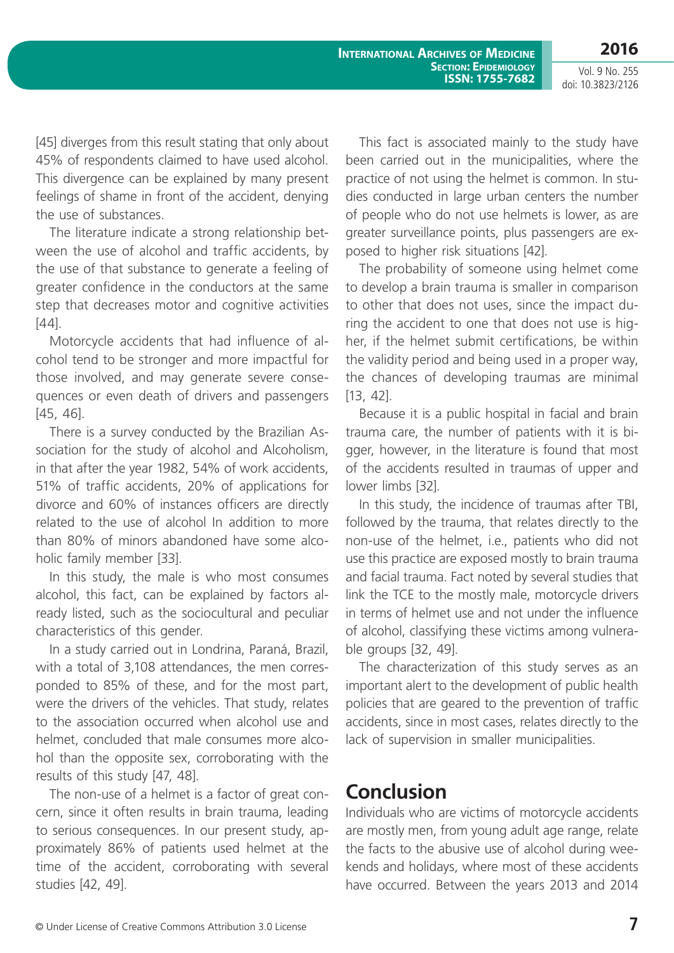Vol. 9 No. 255 doi: 10.3823/2126

**2016**

[45] diverges from this result stating that only about 45% of respondents claimed to have used alcohol. This divergence can be explained by many present feelings of shame in front of the accident, denying the use of substances.

The literature indicate a strong relationship between the use of alcohol and traffic accidents, by the use of that substance to generate a feeling of greater confidence in the conductors at the same step that decreases motor and cognitive activities [44].

Motorcycle accidents that had influence of alcohol tend to be stronger and more impactful for those involved, and may generate severe consequences or even death of drivers and passengers [45, 46].

There is a survey conducted by the Brazilian Association for the study of alcohol and Alcoholism, in that after the year 1982, 54% of work accidents, 51% of traffic accidents, 20% of applications for divorce and 60% of instances officers are directly related to the use of alcohol In addition to more than 80% of minors abandoned have some alcoholic family member [33].

In this study, the male is who most consumes alcohol, this fact, can be explained by factors already listed, such as the sociocultural and peculiar characteristics of this gender.

In a study carried out in Londrina, Paraná, Brazil, with a total of 3,108 attendances, the men corresponded to 85% of these, and for the most part, were the drivers of the vehicles. That study, relates to the association occurred when alcohol use and helmet, concluded that male consumes more alcohol than the opposite sex, corroborating with the results of this study [47, 48].

The non-use of a helmet is a factor of great concern, since it often results in brain trauma, leading to serious consequences. In our present study, approximately 86% of patients used helmet at the time of the accident, corroborating with several studies [42, 49].

This fact is associated mainly to the study have been carried out in the municipalities, where the practice of not using the helmet is common. In studies conducted in large urban centers the number of people who do not use helmets is lower, as are greater surveillance points, plus passengers are exposed to higher risk situations [42].

The probability of someone using helmet come to develop a brain trauma is smaller in comparison to other that does not uses, since the impact during the accident to one that does not use is higher, if the helmet submit certifications, be within the validity period and being used in a proper way, the chances of developing traumas are minimal [13, 42].

Because it is a public hospital in facial and brain trauma care, the number of patients with it is bigger, however, in the literature is found that most of the accidents resulted in traumas of upper and lower limbs [32].

In this study, the incidence of traumas after TBI, followed by the trauma, that relates directly to the non-use of the helmet, i.e., patients who did not use this practice are exposed mostly to brain trauma and facial trauma. Fact noted by several studies that link the TCE to the mostly male, motorcycle drivers in terms of helmet use and not under the influence of alcohol, classifying these victims among vulnerable groups [32, 49].

The characterization of this study serves as an important alert to the development of public health policies that are geared to the prevention of traffic accidents, since in most cases, relates directly to the lack of supervision in smaller municipalities.

#### **Conclusion**

Individuals who are victims of motorcycle accidents are mostly men, from young adult age range, relate the facts to the abusive use of alcohol during weekends and holidays, where most of these accidents have occurred. Between the years 2013 and 2014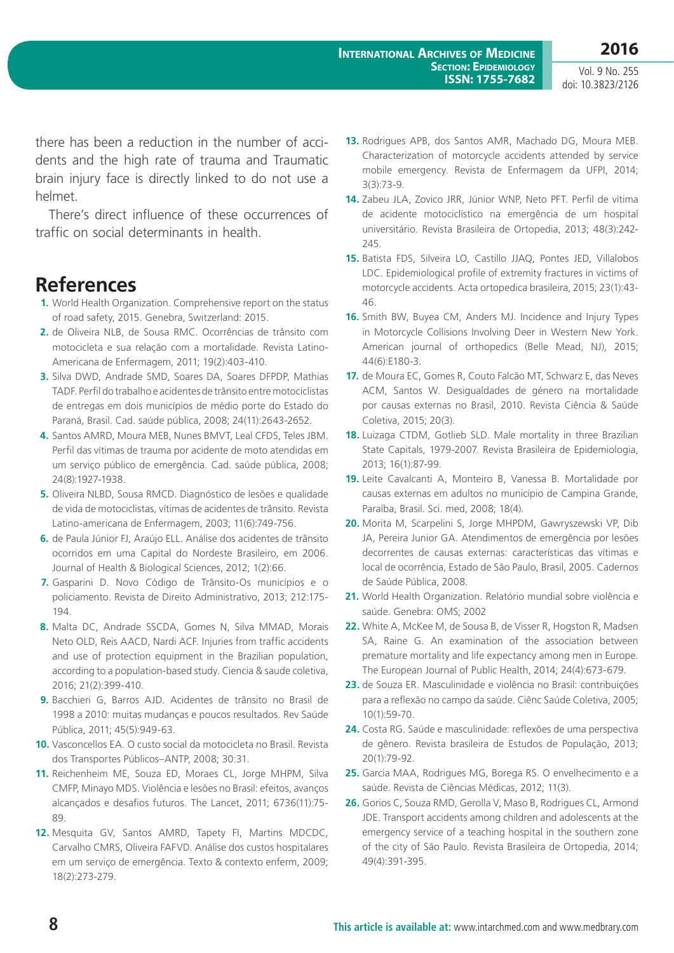Vol. 9 No. 255

doi: 10.3823/2126

**2016**

there has been a reduction in the number of accidents and the high rate of trauma and Traumatic brain injury face is directly linked to do not use a helmet.

There's direct influence of these occurrences of traffic on social determinants in health.

#### **References**

- **1.** World Health Organization. Comprehensive report on the status of road safety, 2015. Genebra, Switzerland: 2015.
- **2.** de Oliveira NLB, de Sousa RMC. Ocorrências de trânsito com motocicleta e sua relação com a mortalidade. Revista Latino-Americana de Enfermagem, 2011; 19(2):403-410.
- **3.** Silva DWD, Andrade SMD, Soares DA, Soares DFPDP, Mathias TADF. Perfil do trabalho e acidentes de trânsito entre motociclistas de entregas em dois municípios de médio porte do Estado do Paraná, Brasil. Cad. saúde pública, 2008; 24(11):2643-2652.
- **4.** Santos AMRD, Moura MEB, Nunes BMVT, Leal CFDS, Teles JBM. Perfil das vítimas de trauma por acidente de moto atendidas em um serviço público de emergência. Cad. saúde pública, 2008; 24(8):1927-1938.
- **5.** Oliveira NLBD, Sousa RMCD. Diagnóstico de lesões e qualidade de vida de motociclistas, vítimas de acidentes de trânsito. Revista Latino-americana de Enfermagem, 2003; 11(6):749-756.
- **6.** de Paula Júnior FJ, Araújo ELL. Análise dos acidentes de trânsito ocorridos em uma Capital do Nordeste Brasileiro, em 2006. Journal of Health & Biological Sciences, 2012; 1(2):66.
- **7.** Gasparini D. Novo Código de Trânsito-Os municípios e o policiamento. Revista de Direito Administrativo, 2013; 212:175- 194.
- **8.** Malta DC, Andrade SSCDA, Gomes N, Silva MMAD, Morais Neto OLD, Reis AACD, Nardi ACF. Injuries from traffic accidents and use of protection equipment in the Brazilian population, according to a population-based study. Ciencia & saude coletiva, 2016; 21(2):399-410.
- **9.** Bacchieri G, Barros AJD. Acidentes de trânsito no Brasil de 1998 a 2010: muitas mudanças e poucos resultados. Rev Saúde Pública, 2011; 45(5):949-63.
- **10.** Vasconcellos EA. O custo social da motocicleta no Brasil. Revista dos Transportes Públicos–ANTP, 2008; 30:31.
- **11.** Reichenheim ME, Souza ED, Moraes CL, Jorge MHPM, Silva CMFP, Minayo MDS. Violência e lesões no Brasil: efeitos, avanços alcançados e desafios futuros. The Lancet, 2011; 6736(11):75- 89.
- **12.** Mesquita GV, Santos AMRD, Tapety FI, Martins MDCDC, Carvalho CMRS, Oliveira FAFVD. Análise dos custos hospitalares em um serviço de emergência. Texto & contexto enferm, 2009; 18(2):273-279.
- **13.** Rodrigues APB, dos Santos AMR, Machado DG, Moura MEB. Characterization of motorcycle accidents attended by service mobile emergency. Revista de Enfermagem da UFPI, 2014; 3(3):73-9.
- **14.** Zabeu JLA, Zovico JRR, Júnior WNP, Neto PFT. Perfil de vítima de acidente motociclístico na emergência de um hospital universitário. Revista Brasileira de Ortopedia, 2013; 48(3):242- 245.
- **15.** Batista FDS, Silveira LO, Castillo JJAQ, Pontes JED, Villalobos LDC. Epidemiological profile of extremity fractures in victims of motorcycle accidents. Acta ortopedica brasileira, 2015; 23(1):43- 46.
- **16.** Smith BW, Buyea CM, Anders MJ. Incidence and Injury Types in Motorcycle Collisions Involving Deer in Western New York. American journal of orthopedics (Belle Mead, NJ), 2015; 44(6):E180-3.
- **17.** de Moura EC, Gomes R, Couto Falcão MT, Schwarz E, das Neves ACM, Santos W. Desigualdades de género na mortalidade por causas externas no Brasil, 2010. Revista Ciência & Saúde Coletiva, 2015; 20(3).
- **18.** Luizaga CTDM, Gotlieb SLD. Male mortality in three Brazilian State Capitals, 1979-2007. Revista Brasileira de Epidemiologia, 2013; 16(1):87-99.
- **19.** Leite Cavalcanti A, Monteiro B, Vanessa B. Mortalidade por causas externas em adultos no município de Campina Grande, Paraíba, Brasil. Sci. med, 2008; 18(4).
- **20.** Morita M, Scarpelini S, Jorge MHPDM, Gawryszewski VP, Dib JA, Pereira Junior GA. Atendimentos de emergência por lesões decorrentes de causas externas: características das vítimas e local de ocorrência, Estado de São Paulo, Brasil, 2005. Cadernos de Saúde Pública, 2008.
- **21.** World Health Organization. Relatório mundial sobre violência e saúde. Genebra: OMS; 2002
- **22.** White A, McKee M, de Sousa B, de Visser R, Hogston R, Madsen SA, Raine G. An examination of the association between premature mortality and life expectancy among men in Europe. The European Journal of Public Health, 2014; 24(4):673-679.
- **23.** de Souza ER. Masculinidade e violência no Brasil: contribuições para a reflexão no campo da saúde. Ciênc Saúde Coletiva, 2005; 10(1):59-70.
- **24.** Costa RG. Saúde e masculinidade: reflexões de uma perspectiva de gênero. Revista brasileira de Estudos de População, 2013; 20(1):79-92.
- **25.** Garcia MAA, Rodrigues MG, Borega RS. O envelhecimento e a saúde. Revista de Ciências Médicas, 2012; 11(3).
- **26.** Gorios C, Souza RMD, Gerolla V, Maso B, Rodrigues CL, Armond JDE. Transport accidents among children and adolescents at the emergency service of a teaching hospital in the southern zone of the city of São Paulo. Revista Brasileira de Ortopedia, 2014; 49(4):391-395.